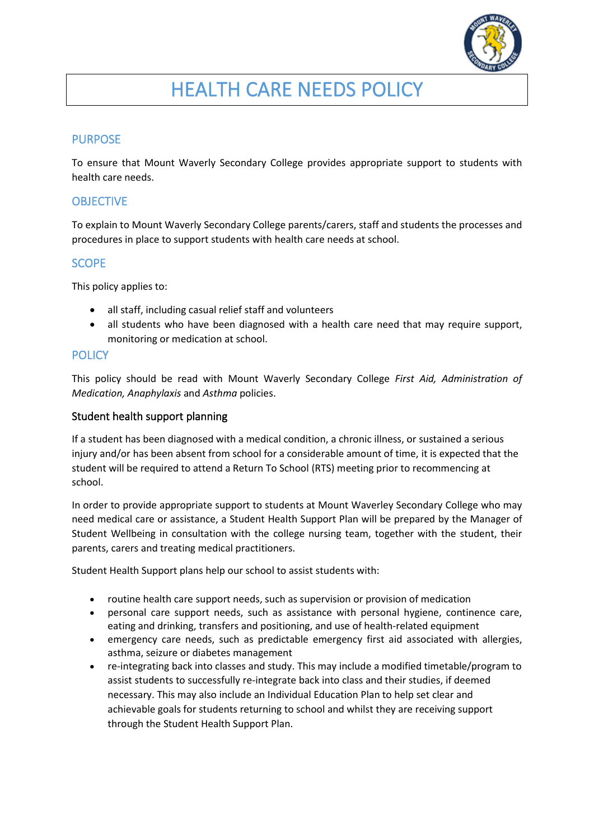

# HEALTH CARE NEEDS POLICY

# PURPOSE

To ensure that Mount Waverly Secondary College provides appropriate support to students with health care needs.

## **OBJECTIVE**

To explain to Mount Waverly Secondary College parents/carers, staff and students the processes and procedures in place to support students with health care needs at school.

## **SCOPE**

This policy applies to:

- all staff, including casual relief staff and volunteers
- all students who have been diagnosed with a health care need that may require support, monitoring or medication at school.

#### **POLICY**

This policy should be read with Mount Waverly Secondary College *First Aid, Administration of Medication, Anaphylaxis* and *Asthma* policies.

#### Student health support planning

If a student has been diagnosed with a medical condition, a chronic illness, or sustained a serious injury and/or has been absent from school for a considerable amount of time, it is expected that the student will be required to attend a Return To School (RTS) meeting prior to recommencing at school.

In order to provide appropriate support to students at Mount Waverley Secondary College who may need medical care or assistance, a Student Health Support Plan will be prepared by the Manager of Student Wellbeing in consultation with the college nursing team, together with the student, their parents, carers and treating medical practitioners.

Student Health Support plans help our school to assist students with:

- routine health care support needs, such as supervision or provision of medication
- personal care support needs, such as assistance with personal hygiene, continence care, eating and drinking, transfers and positioning, and use of health-related equipment
- emergency care needs, such as predictable emergency first aid associated with allergies, asthma, seizure or diabetes management
- re-integrating back into classes and study. This may include a modified timetable/program to assist students to successfully re-integrate back into class and their studies, if deemed necessary. This may also include an Individual Education Plan to help set clear and achievable goals for students returning to school and whilst they are receiving support through the Student Health Support Plan.